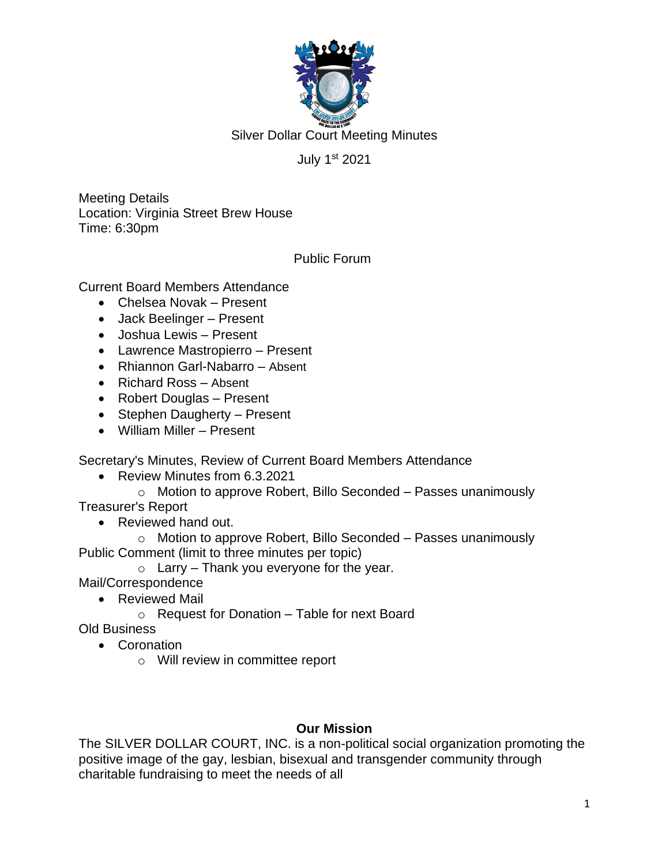

Silver Dollar Court Meeting Minutes

## July 1st 2021

Meeting Details Location: Virginia Street Brew House Time: 6:30pm

Public Forum

Current Board Members Attendance

- Chelsea Novak Present
- Jack Beelinger Present
- Joshua Lewis Present
- Lawrence Mastropierro Present
- Rhiannon Garl-Nabarro Absent
- Richard Ross Absent
- Robert Douglas Present
- Stephen Daugherty Present
- William Miller Present

Secretary's Minutes, Review of Current Board Members Attendance

• Review Minutes from 6.3.2021

o Motion to approve Robert, Billo Seconded – Passes unanimously Treasurer's Report

• Reviewed hand out.

o Motion to approve Robert, Billo Seconded – Passes unanimously Public Comment (limit to three minutes per topic)

 $\circ$  Larry – Thank you everyone for the year.

Mail/Correspondence

- Reviewed Mail
	- $\circ$  Request for Donation Table for next Board

Old Business

- Coronation
	- o Will review in committee report

## **Our Mission**

The SILVER DOLLAR COURT, INC. is a non-political social organization promoting the positive image of the gay, lesbian, bisexual and transgender community through charitable fundraising to meet the needs of all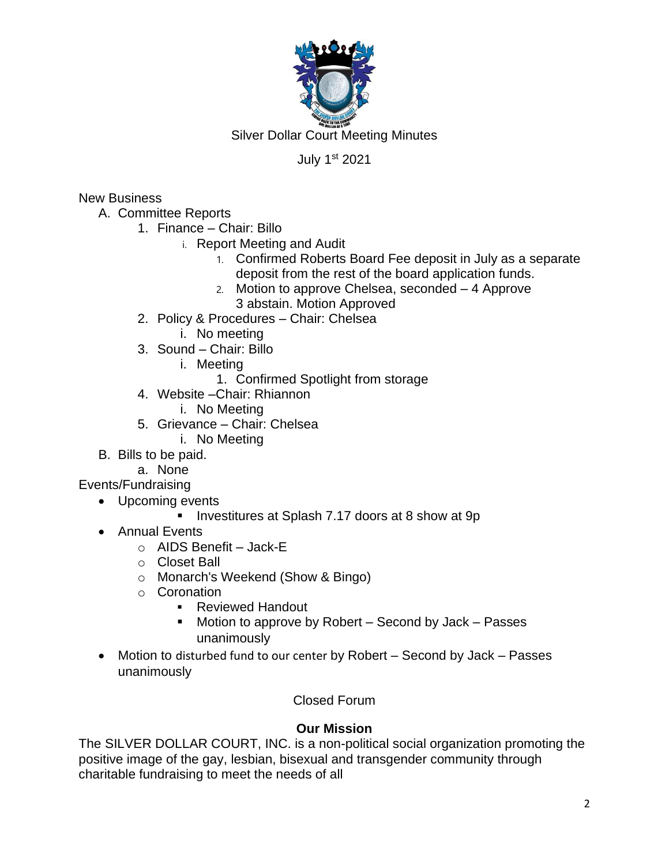

Silver Dollar Court Meeting Minutes

# July 1st 2021

New Business

- A. Committee Reports
	- 1. Finance Chair: Billo
		- i. Report Meeting and Audit
			- 1. Confirmed Roberts Board Fee deposit in July as a separate deposit from the rest of the board application funds.
			- 2. Motion to approve Chelsea, seconded 4 Approve 3 abstain. Motion Approved
	- 2. Policy & Procedures Chair: Chelsea
		- i. No meeting
	- 3. Sound Chair: Billo
		- i. Meeting
			- 1. Confirmed Spotlight from storage
	- 4. Website –Chair: Rhiannon
		- i. No Meeting
	- 5. Grievance Chair: Chelsea
		- i. No Meeting
- B. Bills to be paid.
	- a. None

Events/Fundraising

- Upcoming events
	- Investitures at Splash 7.17 doors at 8 show at 9p
- Annual Events
	- o AIDS Benefit Jack-E
	- o Closet Ball
	- o Monarch's Weekend (Show & Bingo)
	- o Coronation
		- Reviewed Handout
		- Motion to approve by Robert  $-$  Second by Jack  $-$  Passes unanimously
- Motion to disturbed fund to our center by Robert Second by Jack Passes unanimously

Closed Forum

## **Our Mission**

The SILVER DOLLAR COURT, INC. is a non-political social organization promoting the positive image of the gay, lesbian, bisexual and transgender community through charitable fundraising to meet the needs of all